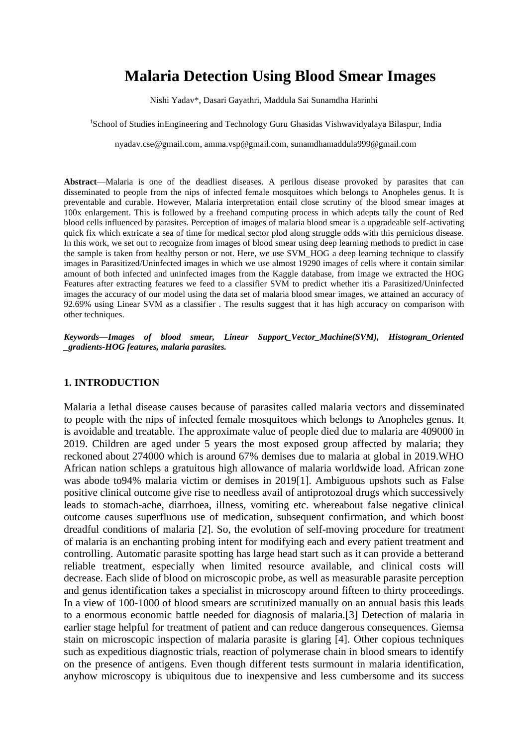# **Malaria Detection Using Blood Smear Images**

Nishi Yadav\*, Dasari Gayathri, Maddula Sai Sunamdha Harinhi

<sup>1</sup>School of Studies inEngineering and Technology Guru Ghasidas Vishwavidyalaya Bilaspur, India

[nyadav.cse@gmail.com,](mailto:nyadav.cse@gmail.com) [amma.vsp@gmail.com,](mailto:amma.vsp@gmail.com) [sunamdhamaddula999@gmail.com](mailto:sunamdhamaddula999@gmail.com)

**Abstract**—Malaria is one of the deadliest diseases. A perilous disease provoked by parasites that can disseminated to people from the nips of infected female mosquitoes which belongs to Anopheles genus. It is preventable and curable. However, Malaria interpretation entail close scrutiny of the blood smear images at 100x enlargement. This is followed by a freehand computing process in which adepts tally the count of Red blood cells influenced by parasites. Perception of images of malaria blood smear is a upgradeable self-activating quick fix which extricate a sea of time for medical sector plod along struggle odds with this pernicious disease. In this work, we set out to recognize from images of blood smear using deep learning methods to predict in case the sample is taken from healthy person or not. Here, we use SVM\_HOG a deep learning technique to classify images in Parasitized/Uninfected images in which we use almost 19290 images of cells where it contain similar amount of both infected and uninfected images from the Kaggle database, from image we extracted the HOG Features after extracting features we feed to a classifier SVM to predict whether itis a Parasitized/Uninfected images the accuracy of our model using the data set of malaria blood smear images, we attained an accuracy of 92.69% using Linear SVM as a classifier . The results suggest that it has high accuracy on comparison with other techniques.

*Keywords—Images of blood smear, Linear Support\_Vector\_Machine(SVM), Histogram\_Oriented \_gradients-HOG features, malaria parasites.*

### **1. INTRODUCTION**

Malaria a lethal disease causes because of parasites called malaria vectors and disseminated to people with the nips of infected female mosquitoes which belongs to Anopheles genus. It is avoidable and treatable. The approximate value of people died due to malaria are 409000 in 2019. Children are aged under 5 years the most exposed group affected by malaria; they reckoned about 274000 which is around 67% demises due to malaria at global in 2019.WHO African nation schleps a gratuitous high allowance of malaria worldwide load. African zone was abode to94% malaria victim or demises in 2019[1]. Ambiguous upshots such as False positive clinical outcome give rise to needless avail of antiprotozoal drugs which successively leads to stomach-ache, diarrhoea, illness, vomiting etc. whereabout false negative clinical outcome causes superfluous use of medication, subsequent confirmation, and which boost dreadful conditions of malaria [2]. So, the evolution of self-moving procedure for treatment of malaria is an enchanting probing intent for modifying each and every patient treatment and controlling. Automatic parasite spotting has large head start such as it can provide a betterand reliable treatment, especially when limited resource available, and clinical costs will decrease. Each slide of blood on microscopic probe, as well as measurable parasite perception and genus identification takes a specialist in microscopy around fifteen to thirty proceedings. In a view of 100-1000 of blood smears are scrutinized manually on an annual basis this leads to a enormous economic battle needed for diagnosis of malaria.[3] Detection of malaria in earlier stage helpful for treatment of patient and can reduce dangerous consequences. Giemsa stain on microscopic inspection of malaria parasite is glaring [4]. Other copious techniques such as expeditious diagnostic trials, reaction of polymerase chain in blood smears to identify on the presence of antigens. Even though different tests surmount in malaria identification, anyhow microscopy is ubiquitous due to inexpensive and less cumbersome and its success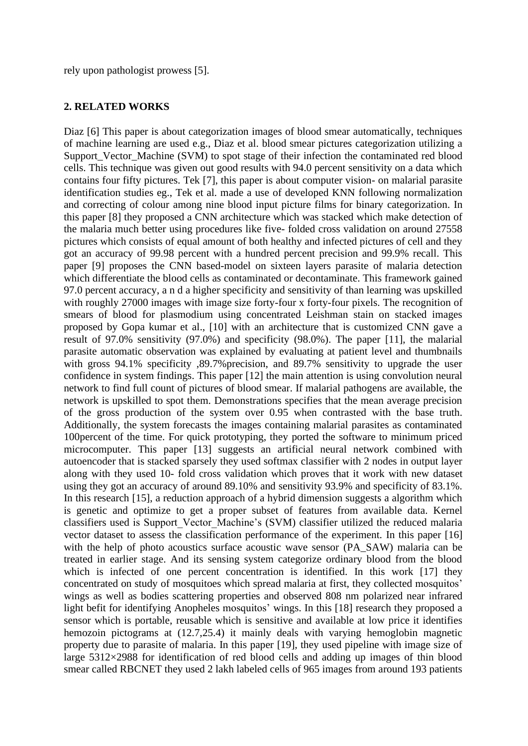rely upon pathologist prowess [5].

#### **2. RELATED WORKS**

Diaz [6] This paper is about categorization images of blood smear automatically, techniques of machine learning are used e.g., Diaz et al. blood smear pictures categorization utilizing a Support Vector Machine (SVM) to spot stage of their infection the contaminated red blood cells. This technique was given out good results with 94.0 percent sensitivity on a data which contains four fifty pictures. Tek [7], this paper is about computer vision- on malarial parasite identification studies eg., Tek et al. made a use of developed KNN following normalization and correcting of colour among nine blood input picture films for binary categorization. In this paper [8] they proposed a CNN architecture which was stacked which make detection of the malaria much better using procedures like five- folded cross validation on around 27558 pictures which consists of equal amount of both healthy and infected pictures of cell and they got an accuracy of 99.98 percent with a hundred percent precision and 99.9% recall. This paper [9] proposes the CNN based-model on sixteen layers parasite of malaria detection which differentiate the blood cells as contaminated or decontaminate. This framework gained 97.0 percent accuracy, a n d a higher specificity and sensitivity of than learning was upskilled with roughly 27000 images with image size forty-four x forty-four pixels. The recognition of smears of blood for plasmodium using concentrated Leishman stain on stacked images proposed by Gopa kumar et al., [10] with an architecture that is customized CNN gave a result of 97.0% sensitivity (97.0%) and specificity (98.0%). The paper [11], the malarial parasite automatic observation was explained by evaluating at patient level and thumbnails with gross 94.1% specificity ,89.7% precision, and 89.7% sensitivity to upgrade the user confidence in system findings. This paper [12] the main attention is using convolution neural network to find full count of pictures of blood smear. If malarial pathogens are available, the network is upskilled to spot them. Demonstrations specifies that the mean average precision of the gross production of the system over 0.95 when contrasted with the base truth. Additionally, the system forecasts the images containing malarial parasites as contaminated 100percent of the time. For quick prototyping, they ported the software to minimum priced microcomputer. This paper [13] suggests an artificial neural network combined with autoencoder that is stacked sparsely they used softmax classifier with 2 nodes in output layer along with they used 10- fold cross validation which proves that it work with new dataset using they got an accuracy of around 89.10% and sensitivity 93.9% and specificity of 83.1%. In this research [15], a reduction approach of a hybrid dimension suggests a algorithm which is genetic and optimize to get a proper subset of features from available data. Kernel classifiers used is Support\_Vector\_Machine's (SVM) classifier utilized the reduced malaria vector dataset to assess the classification performance of the experiment. In this paper [16] with the help of photo acoustics surface acoustic wave sensor (PA\_SAW) malaria can be treated in earlier stage. And its sensing system categorize ordinary blood from the blood which is infected of one percent concentration is identified. In this work [17] they concentrated on study of mosquitoes which spread malaria at first, they collected mosquitos' wings as well as bodies scattering properties and observed 808 nm polarized near infrared light befit for identifying Anopheles mosquitos' wings. In this [18] research they proposed a sensor which is portable, reusable which is sensitive and available at low price it identifies hemozoin pictograms at (12.7,25.4) it mainly deals with varying hemoglobin magnetic property due to parasite of malaria. In this paper [19], they used pipeline with image size of large 5312×2988 for identification of red blood cells and adding up images of thin blood smear called RBCNET they used 2 lakh labeled cells of 965 images from around 193 patients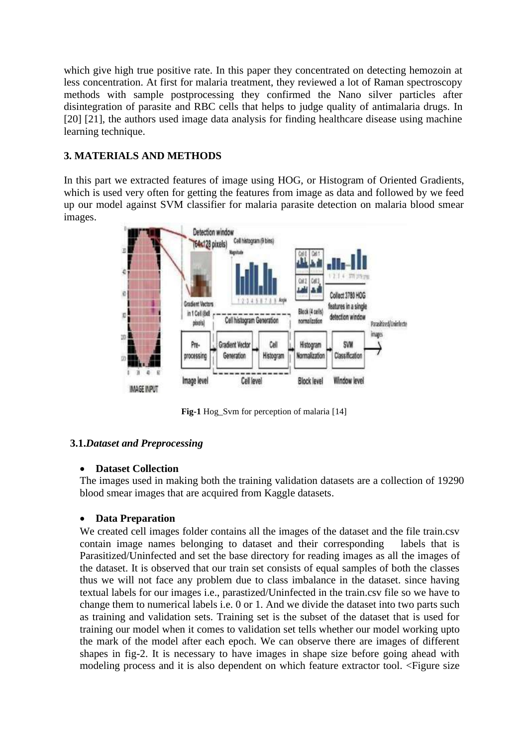which give high true positive rate. In this paper they concentrated on detecting hemozoin at less concentration. At first for malaria treatment, they reviewed a lot of Raman spectroscopy methods with sample postprocessing they confirmed the Nano silver particles after disintegration of parasite and RBC cells that helps to judge quality of antimalaria drugs. In [20] [21], the authors used image data analysis for finding healthcare disease using machine learning technique.

# **3. MATERIALS AND METHODS**

In this part we extracted features of image using HOG, or Histogram of Oriented Gradients, which is used very often for getting the features from image as data and followed by we feed up our model against SVM classifier for malaria parasite detection on malaria blood smear images.



**Fig-1** Hog\_Svm for perception of malaria [14]

# **3.1.***Dataset and Preprocessing*

# • **Dataset Collection**

The images used in making both the training validation datasets are a collection of 19290 blood smear images that are acquired from Kaggle datasets.

# • **Data Preparation**

We created cell images folder contains all the images of the dataset and the file train.csv contain image names belonging to dataset and their corresponding labels that is Parasitized/Uninfected and set the base directory for reading images as all the images of the dataset. It is observed that our train set consists of equal samples of both the classes thus we will not face any problem due to class imbalance in the dataset. since having textual labels for our images i.e., parastized/Uninfected in the train.csv file so we have to change them to numerical labels i.e. 0 or 1. And we divide the dataset into two parts such as training and validation sets. Training set is the subset of the dataset that is used for training our model when it comes to validation set tells whether our model working upto the mark of the model after each epoch. We can observe there are images of different shapes in fig-2. It is necessary to have images in shape size before going ahead with modeling process and it is also dependent on which feature extractor tool. <Figure size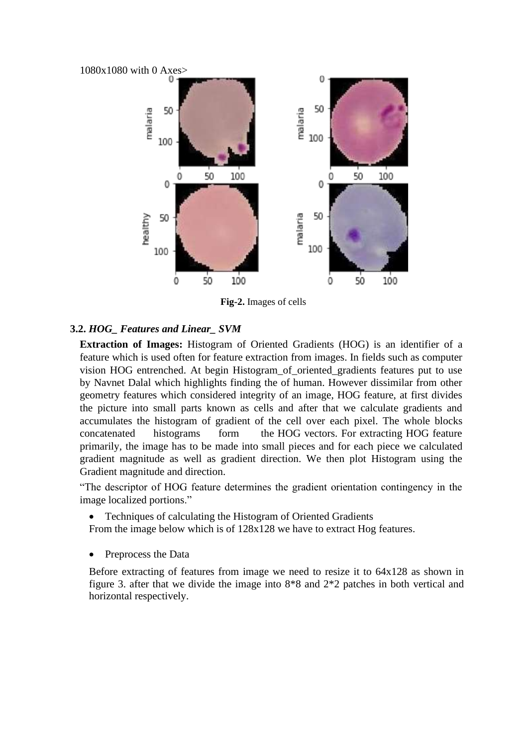

**Fig-2.** Images of cells

# **3.2.** *HOG\_ Features and Linear\_ SVM*

**Extraction of Images:** Histogram of Oriented Gradients (HOG) is an identifier of a feature which is used often for feature extraction from images. In fields such as computer vision HOG entrenched. At begin Histogram\_of\_oriented\_gradients features put to use by Navnet Dalal which highlights finding the of human. However dissimilar from other geometry features which considered integrity of an image, HOG feature, at first divides the picture into small parts known as cells and after that we calculate gradients and accumulates the histogram of gradient of the cell over each pixel. The whole blocks concatenated histograms form the HOG vectors. For extracting HOG feature primarily, the image has to be made into small pieces and for each piece we calculated gradient magnitude as well as gradient direction. We then plot Histogram using the Gradient magnitude and direction.

"The descriptor of HOG feature determines the gradient orientation contingency in the image localized portions."

• Techniques of calculating the Histogram of Oriented Gradients

From the image below which is of 128x128 we have to extract Hog features.

Preprocess the Data

Before extracting of features from image we need to resize it to 64x128 as shown in figure 3. after that we divide the image into 8\*8 and 2\*2 patches in both vertical and horizontal respectively.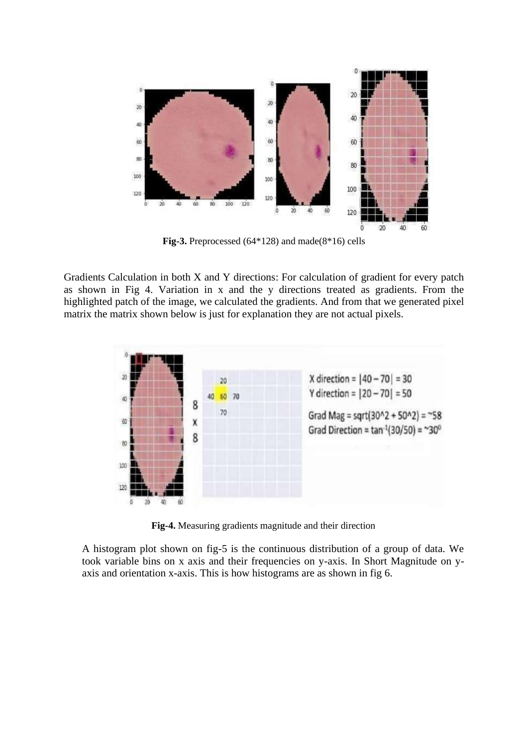

**Fig-3.** Preprocessed (64\*128) and made(8\*16) cells

Gradients Calculation in both X and Y directions: For calculation of gradient for every patch as shown in Fig 4. Variation in x and the y directions treated as gradients. From the highlighted patch of the image, we calculated the gradients. And from that we generated pixel matrix the matrix shown below is just for explanation they are not actual pixels.



**Fig-4.** Measuring gradients magnitude and their direction

A histogram plot shown on fig-5 is the continuous distribution of a group of data. We took variable bins on x axis and their frequencies on y-axis. In Short Magnitude on yaxis and orientation x-axis. This is how histograms are as shown in fig 6.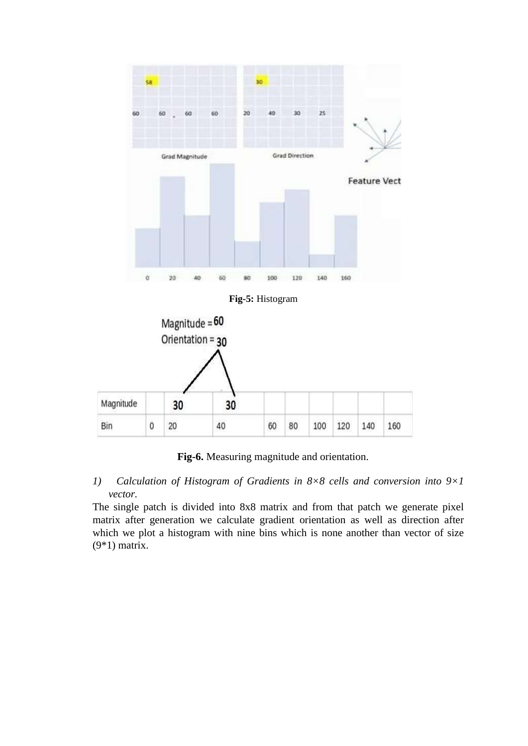

**Fig-5:** Histogram



**Fig-6.** Measuring magnitude and orientation.

*1) Calculation of Histogram of Gradients in 8×8 cells and conversion into 9×1 vector.*

The single patch is divided into 8x8 matrix and from that patch we generate pixel matrix after generation we calculate gradient orientation as well as direction after which we plot a histogram with nine bins which is none another than vector of size (9\*1) matrix.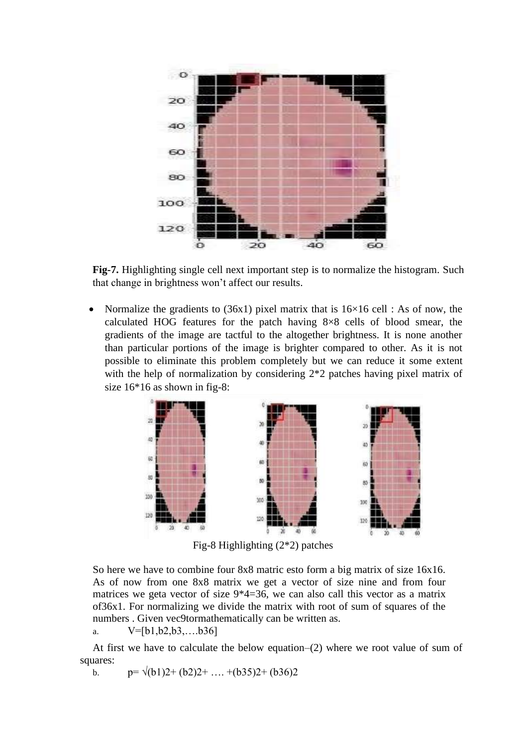

**Fig-7.** Highlighting single cell next important step is to normalize the histogram. Such that change in brightness won't affect our results.

Normalize the gradients to  $(36x1)$  pixel matrix that is  $16\times16$  cell : As of now, the calculated HOG features for the patch having 8×8 cells of blood smear, the gradients of the image are tactful to the altogether brightness. It is none another than particular portions of the image is brighter compared to other. As it is not possible to eliminate this problem completely but we can reduce it some extent with the help of normalization by considering  $2*2$  patches having pixel matrix of size 16\*16 as shown in fig-8:



Fig-8 Highlighting (2\*2) patches

So here we have to combine four 8x8 matric esto form a big matrix of size 16x16. As of now from one 8x8 matrix we get a vector of size nine and from four matrices we geta vector of size 9\*4=36, we can also call this vector as a matrix of36x1. For normalizing we divide the matrix with root of sum of squares of the numbers . Given vec9tormathematically can be written as.

a. V=[b1,b2,b3,….b36]

At first we have to calculate the below equation–(2) where we root value of sum of squares:

b.  $p = \sqrt{(b1)2 + (b2)2 + \dots + (b35)2 + (b36)2}$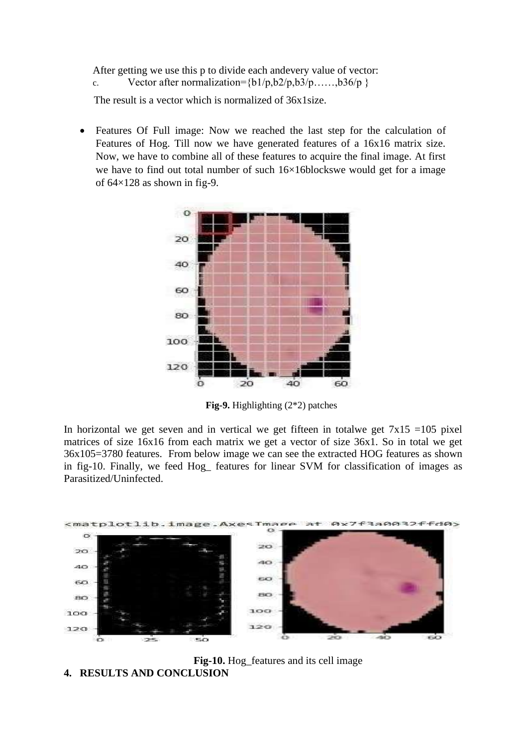After getting we use this p to divide each andevery value of vector:

c. Vector after normalization= ${b1/p,b2/p,b3/p.....,b36/p}$ 

The result is a vector which is normalized of 36x1size.

• Features Of Full image: Now we reached the last step for the calculation of Features of Hog. Till now we have generated features of a 16x16 matrix size. Now, we have to combine all of these features to acquire the final image. At first we have to find out total number of such 16×16blockswe would get for a image of 64×128 as shown in fig-9.



**Fig-9.** Highlighting (2\*2) patches

In horizontal we get seven and in vertical we get fifteen in totalwe get  $7x15 = 105$  pixel matrices of size 16x16 from each matrix we get a vector of size 36x1. So in total we get 36x105=3780 features. From below image we can see the extracted HOG features as shown in fig-10. Finally, we feed Hog\_ features for linear SVM for classification of images as Parasitized/Uninfected.



**Fig-10.** Hog\_features and its cell image **4. RESULTS AND CONCLUSION**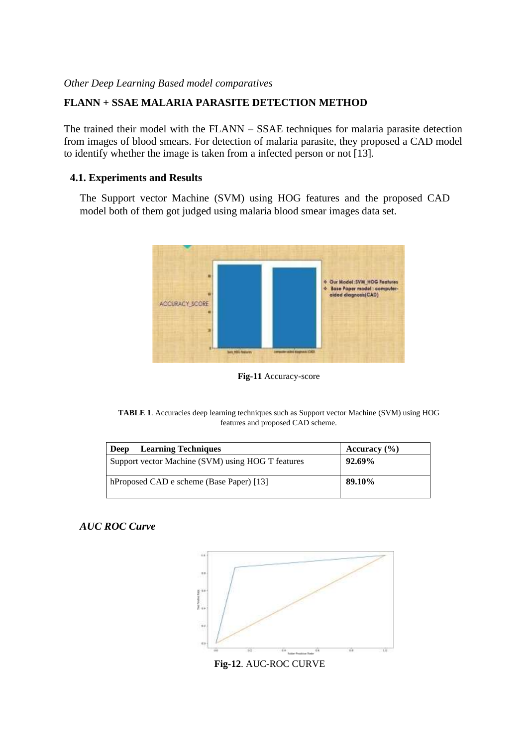### *Other Deep Learning Based model comparatives*

# **FLANN + SSAE MALARIA PARASITE DETECTION METHOD**

The trained their model with the FLANN – SSAE techniques for malaria parasite detection from images of blood smears. For detection of malaria parasite, they proposed a CAD model to identify whether the image is taken from a infected person or not [13].

#### **4.1. Experiments and Results**

The Support vector Machine (SVM) using HOG features and the proposed CAD model both of them got judged using malaria blood smear images data set.



**Fig-11** Accuracy-score

**TABLE 1**. Accuracies deep learning techniques such as Support vector Machine (SVM) using HOG features and proposed CAD scheme.

| <b>Learning Techniques</b><br>Deep                | Accuracy $(\% )$ |
|---------------------------------------------------|------------------|
| Support vector Machine (SVM) using HOG T features | 92.69%           |
| hProposed CAD e scheme (Base Paper) [13]          | 89.10%           |

### *AUC ROC Curve*



**Fig-12**. AUC-ROC CURVE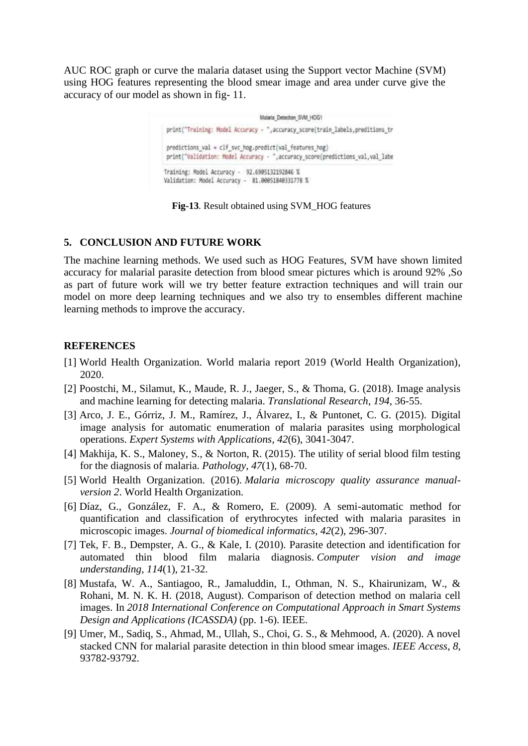AUC ROC graph or curve the malaria dataset using the Support vector Machine (SVM) using HOG features representing the blood smear image and area under curve give the accuracy of our model as shown in fig- 11.



**Fig-13**. Result obtained using SVM\_HOG features

### **5. CONCLUSION AND FUTURE WORK**

The machine learning methods. We used such as HOG Features, SVM have shown limited accuracy for malarial parasite detection from blood smear pictures which is around 92% ,So as part of future work will we try better feature extraction techniques and will train our model on more deep learning techniques and we also try to ensembles different machine learning methods to improve the accuracy.

### **REFERENCES**

- [1] World Health Organization. World malaria report 2019 (World Health Organization), 2020.
- [2] Poostchi, M., Silamut, K., Maude, R. J., Jaeger, S., & Thoma, G. (2018). Image analysis and machine learning for detecting malaria. *Translational Research*, *194*, 36-55.
- [3] Arco, J. E., Górriz, J. M., Ramírez, J., Álvarez, I., & Puntonet, C. G. (2015). Digital image analysis for automatic enumeration of malaria parasites using morphological operations. *Expert Systems with Applications*, *42*(6), 3041-3047.
- [4] Makhija, K. S., Maloney, S., & Norton, R. (2015). The utility of serial blood film testing for the diagnosis of malaria. *Pathology*, *47*(1), 68-70.
- [5] World Health Organization. (2016). *Malaria microscopy quality assurance manualversion 2*. World Health Organization.
- [6] Díaz, G., González, F. A., & Romero, E. (2009). A semi-automatic method for quantification and classification of erythrocytes infected with malaria parasites in microscopic images. *Journal of biomedical informatics*, *42*(2), 296-307.
- [7] Tek, F. B., Dempster, A. G., & Kale, I. (2010). Parasite detection and identification for automated thin blood film malaria diagnosis. *Computer vision and image understanding*, *114*(1), 21-32.
- [8] Mustafa, W. A., Santiagoo, R., Jamaluddin, I., Othman, N. S., Khairunizam, W., & Rohani, M. N. K. H. (2018, August). Comparison of detection method on malaria cell images. In *2018 International Conference on Computational Approach in Smart Systems Design and Applications (ICASSDA)* (pp. 1-6). IEEE.
- [9] Umer, M., Sadiq, S., Ahmad, M., Ullah, S., Choi, G. S., & Mehmood, A. (2020). A novel stacked CNN for malarial parasite detection in thin blood smear images. *IEEE Access*, *8*, 93782-93792.